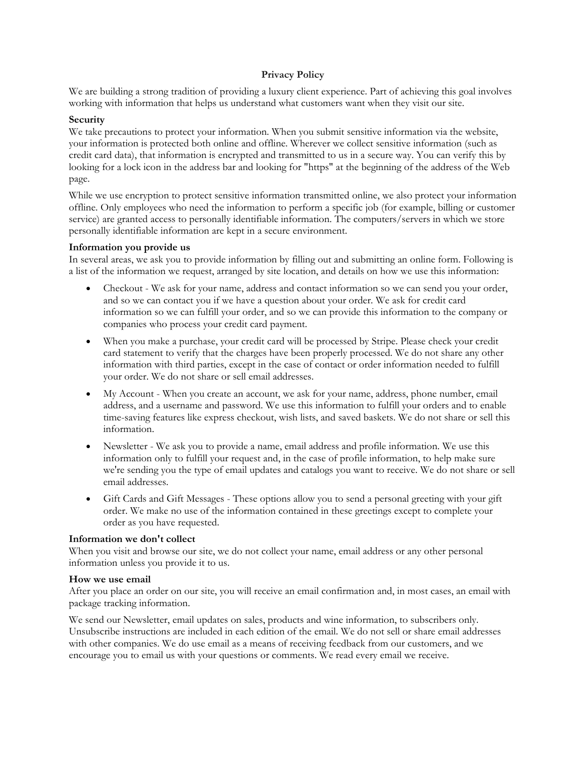## **Privacy Policy**

We are building a strong tradition of providing a luxury client experience. Part of achieving this goal involves working with information that helps us understand what customers want when they visit our site.

## **Security**

We take precautions to protect your information. When you submit sensitive information via the website, your information is protected both online and offline. Wherever we collect sensitive information (such as credit card data), that information is encrypted and transmitted to us in a secure way. You can verify this by looking for a lock icon in the address bar and looking for "https" at the beginning of the address of the Web page.

While we use encryption to protect sensitive information transmitted online, we also protect your information offline. Only employees who need the information to perform a specific job (for example, billing or customer service) are granted access to personally identifiable information. The computers/servers in which we store personally identifiable information are kept in a secure environment.

### **Information you provide us**

In several areas, we ask you to provide information by filling out and submitting an online form. Following is a list of the information we request, arranged by site location, and details on how we use this information:

- Checkout We ask for your name, address and contact information so we can send you your order, and so we can contact you if we have a question about your order. We ask for credit card information so we can fulfill your order, and so we can provide this information to the company or companies who process your credit card payment.
- When you make a purchase, your credit card will be processed by Stripe. Please check your credit card statement to verify that the charges have been properly processed. We do not share any other information with third parties, except in the case of contact or order information needed to fulfill your order. We do not share or sell email addresses.
- My Account When you create an account, we ask for your name, address, phone number, email address, and a username and password. We use this information to fulfill your orders and to enable time-saving features like express checkout, wish lists, and saved baskets. We do not share or sell this information.
- Newsletter We ask you to provide a name, email address and profile information. We use this information only to fulfill your request and, in the case of profile information, to help make sure we're sending you the type of email updates and catalogs you want to receive. We do not share or sell email addresses.
- Gift Cards and Gift Messages These options allow you to send a personal greeting with your gift order. We make no use of the information contained in these greetings except to complete your order as you have requested.

### **Information we don't collect**

When you visit and browse our site, we do not collect your name, email address or any other personal information unless you provide it to us.

### **How we use email**

After you place an order on our site, you will receive an email confirmation and, in most cases, an email with package tracking information.

We send our Newsletter, email updates on sales, products and wine information, to subscribers only. Unsubscribe instructions are included in each edition of the email. We do not sell or share email addresses with other companies. We do use email as a means of receiving feedback from our customers, and we encourage you to email us with your questions or comments. We read every email we receive.